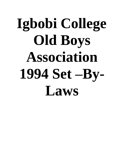# **Igbobi College Old Boys Association 1994 Set –By-Laws**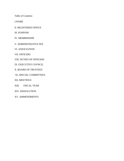Table of Contents:

I.NAME

II. REGISTERED OFFICE

III. PURPOSE

IV. MEMBERSHIP

V. ADMINISTRATIVE FEE

VI. ASSOCIATION

VII. OFFICERS

VIII. DUTIES OF OFFICERS

IX. EXECUTIVE COUNCIL

X. BOARD OF TRUSTEES

XI. SPECIAL COMMITTEES

XII. MEETINGS

XIII. FISCAL YEAR

XIV. DISSOLUTION

XV. AMMENDMENTS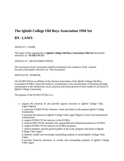# **The Igbobi College Old Boys Association 1994 Set BY- LAWS**

#### ARTICLE I - NAME

The name of this organization is **Igbobi College Old Boys Association 1994 Set** hereinafter referred to as *"ICOBA'94 Set*"

#### ARTICLE II – REGISTERED OFFICE

The Secretariat of the Association shall be entrusted to the residence of the General Secretary hereinafter referred to as "The Secretariat"

#### ARTICLE III - PURPOSE

The ICOBA"94 Set an affiliate of the Alumni Association of the Igbobi College Old Boys Association ICOBA, shares the School's commitment to the advancement of education through commitment to the intellectual, social, physical and moral growth of each student in all facets of Igbobi College Community.

The purpose of the ICOBA'94 Set is to:

1. support the interests of and provide support structure to Igbobi College Yaba Lagos Nigeria;

2. represent ICOBA"94 Set interests, vision and ideals in the general Igbobi College Community;

3. promote the interests of Igbobi College Yaba Lagos Nigeria in local and international communities;

4. support ICOBA"94 Set interests in the ICOBA;

5. bring ICOBA"94 Set members into responsible and influential positions in ICOBA; 6. support ICOBA"94 Set interests in ICOBA programs;

7. inform members and the general public of the work, progress and needs of Igbobi College Yaba Lagos;

8. Identify, enable and encourage outstanding students to attend Igbobi College Yaba Lagos;

9. provide financial assistance to worthy and outstanding students of Igbobi College Yaba Lagos;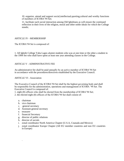10. organize, attend and support social,intellectual,sporting,cultural and worthy functions of members of ICOBA"94 Set;

11. facilitate such social interaction among Old Igbobians as will ensure the continued reflection in their lives of the religion, moral and other noble ideals for which the College stands;

### ARTICLE IV - MEMBERSHIP

The ICOBA'94 Set is composed of:

1. All Igbobi College Yaba Lagos alumni students who was at one time or the other a student in the 1994 Set who shall have spent at least one year attending classes in the College.

### ARTICLE V - ADMINISTRATIVE FEE

An administrative fee shall be paid annually by an active member of ICOBA"94 Set in accordance with the procedures/directives established by the Executive Council.

ARTICLE VI - Association

The Executive Council of the ICOBA"94 Set shall be the highest governing body and shall be responsible for the administration, operations and management of ICOBA "94 Set. The Executive Council is composed of:

1. eight (8) officers who shall be elected from the membership of ICOBA"94 Set;

2. the elected eight (8) officers of the ICOBA"94 Set shall consist of:

- a. chairman
- b. vice chairman
- c. general secretary
- d. Assistant general secretary
- e. treasurer

.

- f. financial Secretary
- g. director of public relations
- h. director of socials
- i. zonal coordinator North America Chapter (U.S.A, Cnanada and Mexico)
- j. zonal coordinator Europe Chapter (All EU member countries and non EU countries in Europe)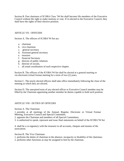Section B. Past chairmen of ICOBA Class "94 Set shall become life members of the Executive Council without the right to make motions or vote. If re-elected to the Executive Council, they shall have the rights of their elective position.

#### ARTICLE VII - OFFICERS

Section A. The officers of ICOBA'94 Set are:

- a. chairman
- b. vice chairman
- c. general secretary
- d. Assistant general secretary
- e. treasurer
- f. financial Secretary
- g. director of public relations
- h. director of socials,
- i. all zonal coordinators of each respective chapter.

Section B. The officers of the ICOBA"94 Set shall be elected at a general meeting or via electronic/virtual format meeting for a term of two (2) years.

Section C. The newly elected officers shall take office immediately following the close of the meeting at which they are elected.

Section D. The unexpired term of any elected officer or Executive Council member may be filled by the Chairman appointing another member he deems capable to hold such position.

#### ARTICLE VIII - DUTIES OF OFFICERS

Section A. The Chairman:

1. presides at all meetings of the Annual, Regular, Electronic or Virtual Format Meeting, Executive Council and Special Committee;

2. appoints the Chairman and members of all Special Committees;

3. is authorized to speak, represent and issue final statements on behalf of the ICOBA"94 Set

4. shall be a co-signatory with the treasurer to all accounts, cheques and monies of the association.

Section B. The Vice Chairman:

1. performs the duties of chairman in the absence, incapacity or disability of the chairman;

2. performs other functions as may be assigned to him by the chairman.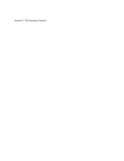Section C. The Secretary General: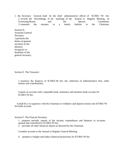1. the Secretary General shall be the chief administrative officer of ICOBA "94 Set. 2. records the Proceedings of all meetings of the Annual or Regular Meeting, its Governing Board, and the Special Committee; 3. transmits the minutes in a timely fashion to the Chairman.

Section D. Assistant General Secretary. 1.performs the duties of general secretary in the absence, incapacity or disability of the general secretary.

Section E. The Treasurer:

1. monitors the finances of ICOBA"94 Set, the collection of administrative fees, other monies and contributions;

4.opens an account with a reputable bank, maintains and monitors bank account for ICOBA"94 Set.

6.shall be a co-signatory with the Chairman to withdraw and deposit monies into ICOBA"94 Set bank account.

Section F. The Finacial Secretary

1. prepares periodic reports of the income, expenditures and balances in accounts opened and controlled by ICOBA"94 Set;

2. provides all other financial reports as directed by the Chairman.

3.renders account to the Annual or Regular General Meeting

4 .prepares a budget and makes financial projections for ICOBA"94 Set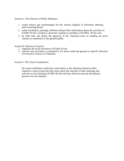Section G. The Director of Public Relations:

- 1. writes notices and communiqués for the Annual, Regular or Electronic Meeting and Governing Board
- 2. sends newsletters, postings, bulletins and provides information about the activities of ICOBA"94 Set via hard or electronic medium to members of ICOBA "94 Set only.
- 3. he shall seek and obtain the approval of the Chairman prior to sending out press releases or statements to the general public.

Section H. Director of Socials

- 1. organises all social activities of ICOBA 94 Set
- 2. execute such activities as contained in (1) above under the general or specific direction of Executive Council or Chairman.

Section F. The Zonal Coordinators:

the zonal coordinators shall have same duties as the chairman limited to their respective zones except that they must report the outcome of their meetings and activities to the Chairman ICOBA"94 Set and they shall not exercise disciplinary powers over any member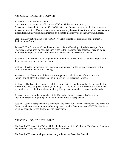### ARTICLE IX – EXECUTIVE COUNCIL

Section A. The Executive Council:

1. advises and recommends policy to the ICOBA "94 Set for its approval;

2. executes action adopted by the ICOBA"94 Set at the Annual, Regular or Electronic Meeting;

3. determines which officers or individual members may be sanctioned for activities deemed as a misconduct and may expel such member by a simple majority vote of the Governing Board.

Section B. Any active member of ICOBA "94 Set is eligible for election or appointment to the Executive Council.

Section D. The Executive Council meets prior to Annual Meetings. Special meetings of the Executive Council may be called at such times as the Chairman may decide, or may be called upon written request to the Chairman by five members of the Executive Council.

Section E. A majority of the voting members of the Executive Council constitutes a quorum to do business at any meeting of the Board.

Section F. Elected members of the Executive Council are eligible to vote at meetings of the Annual, Regular or Electronic Meetings.

Section G. The Chairman shall be the presiding officer and Chairman of the Executive Council and all elected officers shall be members of the Executive Council.

Section H. The Executive Council shall have powers to suspend a member for misconduct for a period not exceeding six months (6 months). The members of the Executive Council shall vote and such vote shall be a simple majority if they deem a members action is a misconduct.

Section I. In the event that a member of the Executive Council is accused of misconduct, such member shall not participate in a vote to determine his suspension.

Section J. Upon the suspension of a member of the Executive Council, members of the Executive Council shall nominate another member they deem capable from members of ICOBA "94 Set to act in his capacity for the duration of the suspension.

#### ARTICLE X – BOARD OF TRUSTEES

The Board of Trustees of ICOBA "94 Set shall comprise of the Chairman, The General Secretary and a member who shall be a licensed legal practitioner.

The Board of Trustees shall provide advisory role for the Executive Council.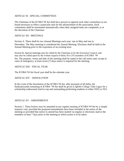#### ARTICLE XI - SPECIAL COMMITTEES

The Chairman of the ICOBA"94 Set shall have powers to appoint such other committees as are found necessary to effect a particular task for the advancement of the association. Such committees shall be terminated automatically when their assigned tasks are completed, or at the discretion of the Chairman.

## ARTICLE XII - MEETINGS

Section A. There shall be two Annual Meetings each year: one in May and one in December. The May meeting is considered the Annual Meeting. Elections shall be held at the Annual Meeting prior to the expiration of an existing term.

Section B. Special meetings may be called by the Chairman or by the Executive Council, and may also be called upon by the written request of thirty five (35) members of ICOBA "94 Set. The purpose, venue and date of the meeting shall be stated in the call notice and, except in cases of emergency, at least seven (7) days notice is required for the meeting.

#### ARTICLE XIII – FISCAL YEAR

The ICOBA'94 Set fiscal year shall be the calendar year.

### ARTICLE XIV – DISSOLUTION

In the event of the dissolution of the ICOBA"94 Set, after payment of all debts, the funds/proceeds remaining in ICOBA "94 Set shall be given to Igbobi College Yaba Lagos for a scholarship endowment fund to top and outstanding performing students in either SSS2 or SS3.

#### ARTICLE XV - AMENDMENTS

Section 1. These bylaws may be amended at any regular meeting of ICOBA"94 Set by a simple majority vote, provided the proposed amendments have been included in the notice of the meeting or provided that notice to amend has been mailed via regular or electronic mail to the members at least 7 days prior to the meeting at which action is to be taken.